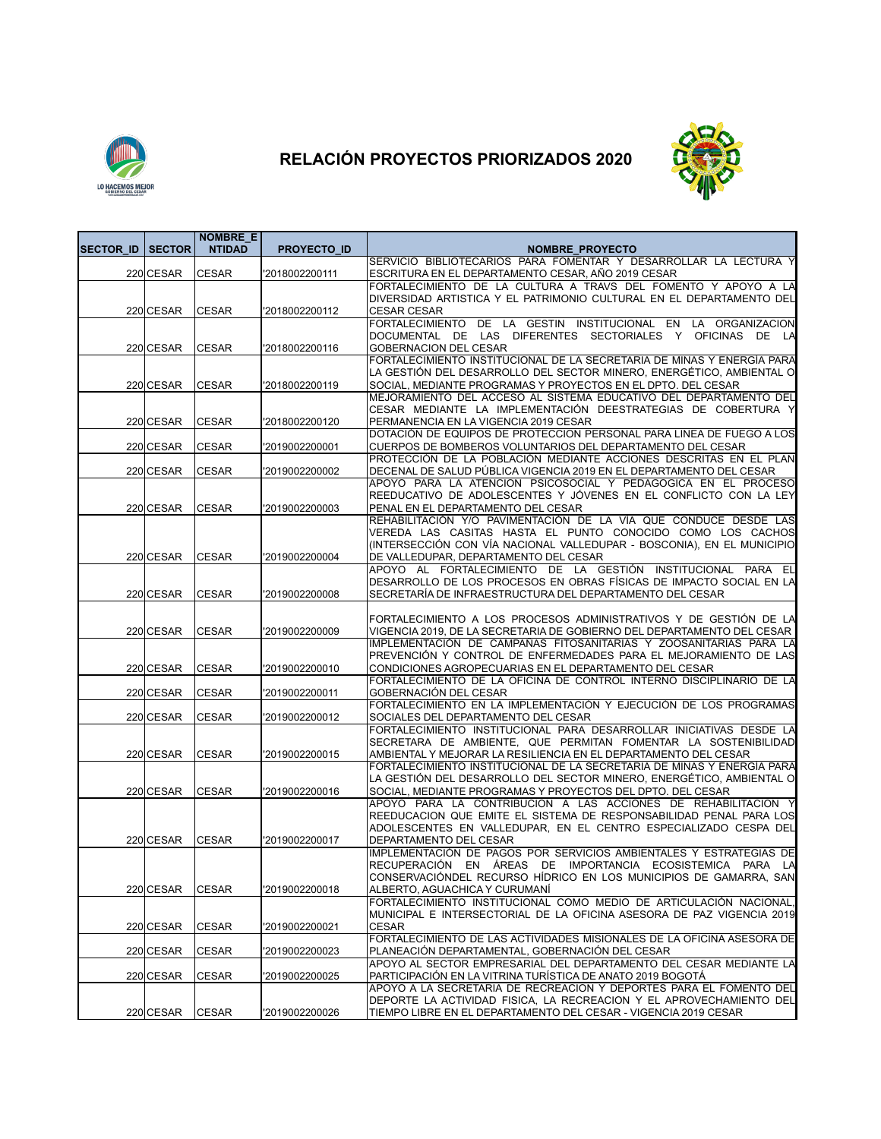

## **RELACIÓN PROYECTOS PRIORIZADOS 2020**



|                  |               | <b>NOMBRE E</b> |                    |                                                                                                                                       |
|------------------|---------------|-----------------|--------------------|---------------------------------------------------------------------------------------------------------------------------------------|
| <b>SECTOR ID</b> | <b>SECTOR</b> | <b>NTIDAD</b>   | <b>PROYECTO ID</b> | <b>NOMBRE_PROYECTO</b><br>SERVICIO BIBLIOTECARIOS PARA FOMENTAR Y DESARROLLAR LA LECTURA Y                                            |
|                  | 220 CESAR     | <b>CESAR</b>    | '2018002200111     | ESCRITURA EN EL DEPARTAMENTO CESAR, AÑO 2019 CESAR                                                                                    |
|                  |               |                 |                    | FORTALECIMIENTO DE LA CULTURA A TRAVS DEL FOMENTO Y APOYO A LA                                                                        |
|                  |               |                 |                    | DIVERSIDAD ARTISTICA Y EL PATRIMONIO CULTURAL EN EL DEPARTAMENTO DEL                                                                  |
|                  | 220 CESAR     | <b>CESAR</b>    | '2018002200112     | <b>CESAR CESAR</b>                                                                                                                    |
|                  |               |                 |                    | <b>FORTALECIMIENTO</b><br>DE LA GESTIN INSTITUCIONAL EN LA ORGANIZACION                                                               |
|                  | 220 CESAR     | <b>CESAR</b>    | '2018002200116     | DOCUMENTAL DE LAS DIFERENTES SECTORIALES Y OFICINAS DE LA<br><b>GOBERNACION DEL CESAR</b>                                             |
|                  |               |                 |                    | FORTALECIMIENTO INSTITUCIONAL DE LA SECRETARIA DE MINAS Y ENERGÍA PARA                                                                |
|                  |               |                 |                    | LA GESTIÓN DEL DESARROLLO DEL SECTOR MINERO, ENERGÉTICO, AMBIENTAL O                                                                  |
|                  | 220 CESAR     | <b>CESAR</b>    | '2018002200119     | SOCIAL, MEDIANTE PROGRAMAS Y PROYECTOS EN EL DPTO, DEL CESAR                                                                          |
|                  |               |                 |                    | MEJORAMIENTO DEL ACCESO AL SISTEMA EDUCATIVO DEL DEPARTAMENTO DEL                                                                     |
|                  |               |                 | '2018002200120     | CESAR MEDIANTE LA IMPLEMENTACIÓN DEESTRATEGIAS DE COBERTURA Y                                                                         |
|                  | 220 CESAR     | <b>CESAR</b>    |                    | PERMANENCIA EN LA VIGENCIA 2019 CESAR<br>DOTACIÓN DE EQUIPOS DE PROTECCION PERSONAL PARA LINEA DE FUEGO A LOS                         |
|                  | 220 CESAR     | <b>CESAR</b>    | '2019002200001     | CUERPOS DE BOMBEROS VOLUNTARIOS DEL DEPARTAMENTO DEL CESAR                                                                            |
|                  |               |                 |                    | PROTECCIÓN DE LA POBLACIÓN MEDIANTE ACCIONES DESCRITAS EN EL PLAN                                                                     |
|                  | 220 CESAR     | <b>CESAR</b>    | '2019002200002     | DECENAL DE SALUD PÚBLICA VIGENCIA 2019 EN EL DEPARTAMENTO DEL CESAR                                                                   |
|                  |               |                 |                    | APOYO PARA LA ATENCION PSICOSOCIAL Y PEDAGOGICA EN EL PROCESO                                                                         |
|                  | 220 CESAR     | <b>CESAR</b>    | '2019002200003     | REEDUCATIVO DE ADOLESCENTES Y JÓVENES EN EL CONFLICTO CON LA LEY<br>PENAL EN EL DEPARTAMENTO DEL CESAR                                |
|                  |               |                 |                    | REHABILITACIÓN Y/O PAVIMENTACIÓN DE LA VÍA QUE CONDUCE DESDE LAS                                                                      |
|                  |               |                 |                    | VEREDA LAS CASITAS HASTA EL PUNTO CONOCIDO COMO LOS CACHOS                                                                            |
|                  |               |                 |                    | (INTERSECCIÓN CON VÍA NACIONAL VALLEDUPAR - BOSCONIA), EN EL MUNICIPIO                                                                |
|                  | 220 CESAR     | <b>CESAR</b>    | '2019002200004     | DE VALLEDUPAR, DEPARTAMENTO DEL CESAR                                                                                                 |
|                  |               |                 |                    | APOYO AL FORTALECIMIENTO DE LA GESTIÓN INSTITUCIONAL PARA EL<br>DESARROLLO DE LOS PROCESOS EN OBRAS FÍSICAS DE IMPACTO SOCIAL EN LA   |
|                  | 220 CESAR     | <b>CESAR</b>    | '2019002200008     | SECRETARÍA DE INFRAESTRUCTURA DEL DEPARTAMENTO DEL CESAR                                                                              |
|                  |               |                 |                    |                                                                                                                                       |
|                  |               |                 |                    | FORTALECIMIENTO A LOS PROCESOS ADMINISTRATIVOS Y DE GESTIÓN DE LA                                                                     |
|                  | 220 CESAR     | <b>CESAR</b>    | '2019002200009     | VIGENCIA 2019, DE LA SECRETARIA DE GOBIERNO DEL DEPARTAMENTO DEL CESAR                                                                |
|                  |               |                 |                    | IMPLEMENTACIÓN DE CAMPAÑAS FITOSANITARIAS Y ZOOSANITARIAS PARA LA                                                                     |
|                  | 220 CESAR     | <b>CESAR</b>    | '2019002200010     | PREVENCIÓN Y CONTROL DE ENFERMEDADES PARA EL MEJORAMIENTO DE LAS<br>CONDICIONES AGROPECUARIAS EN EL DEPARTAMENTO DEL CESAR            |
|                  |               |                 |                    | FORTALECIMIENTO DE LA OFICINA DE CONTROL INTERNO DISCIPLINARIO DE LA                                                                  |
|                  | 220 CESAR     | <b>CESAR</b>    | '2019002200011     | GOBERNACIÓN DEL CESAR                                                                                                                 |
|                  |               |                 |                    | FORTALECIMIENTO EN LA IMPLEMENTACIÓN Y EJECUCIÓN DE LOS PROGRAMAS                                                                     |
|                  | 220 CESAR     | <b>CESAR</b>    | '2019002200012     | SOCIALES DEL DEPARTAMENTO DEL CESAR                                                                                                   |
|                  |               |                 |                    | FORTALECIMIENTO INSTITUCIONAL PARA DESARROLLAR INICIATIVAS DESDE LA<br>SECRETARA DE AMBIENTE, QUE PERMITAN FOMENTAR LA SOSTENIBILIDAD |
|                  | 220 CESAR     | <b>CESAR</b>    | '2019002200015     | AMBIENTAL Y MEJORAR LA RESILIENCIA EN EL DEPARTAMENTO DEL CESAR                                                                       |
|                  |               |                 |                    | FORTALECIMIENTO INSTITUCIONAL DE LA SECRETARIA DE MINAS Y ENERGÍA PARA                                                                |
|                  |               |                 |                    | LA GESTIÓN DEL DESARROLLO DEL SECTOR MINERO, ENERGÉTICO, AMBIENTAL O                                                                  |
|                  | 220 CESAR     | <b>CESAR</b>    | '2019002200016     | SOCIAL, MEDIANTE PROGRAMAS Y PROYECTOS DEL DPTO. DEL CESAR                                                                            |
|                  |               |                 |                    | APOYO PARA LA CONTRIBUCION A LAS ACCIONES DE REHABILITACION<br>REEDUCACION QUE EMITE EL SISTEMA DE RESPONSABILIDAD PENAL PARA LOS     |
|                  |               |                 |                    | ADOLESCENTES EN VALLEDUPAR. EN EL CENTRO ESPECIALIZADO CESPA DEL                                                                      |
|                  | 220 CESAR     | <b>CESAR</b>    | '2019002200017     | DEPARTAMENTO DEL CESAR                                                                                                                |
|                  |               |                 |                    | IMPLEMENTACIÓN DE PAGOS POR SERVICIOS AMBIENTALES Y ESTRATEGIAS DE                                                                    |
|                  |               |                 |                    | RECUPERACIÓN EN ÁREAS DE IMPORTANCIA ECOSISTEMICA PARA LA                                                                             |
|                  |               |                 |                    | CONSERVACIONDEL RECURSO HIDRICO EN LOS MUNICIPIOS DE GAMARRA, SAN                                                                     |
|                  | 220 CESAR     | CESAR           | '2019002200018     | ALBERTO, AGUACHICA Y CURUMANÍ<br>FORTALECIMIENTO INSTITUCIONAL COMO MEDIO DE ARTICULACIÓN NACIONAL,                                   |
|                  |               |                 |                    | MUNICIPAL E INTERSECTORIAL DE LA OFICINA ASESORA DE PAZ VIGENCIA 2019                                                                 |
|                  | 220 CESAR     | CESAR           | '2019002200021     | <b>CESAR</b>                                                                                                                          |
|                  |               |                 |                    | FORTALECIMIENTO DE LAS ACTIVIDADES MISIONALES DE LA OFICINA ASESORA DE                                                                |
|                  | 220 CESAR     | CESAR           | '2019002200023     | PLANEACIÓN DEPARTAMENTAL, GOBERNACIÓN DEL CESAR                                                                                       |
|                  | 220 CESAR     | CESAR           | '2019002200025     | APOYO AL SECTOR EMPRESARIAL DEL DEPARTAMENTO DEL CESAR MEDIANTE LA<br>PARTICIPACIÓN EN LA VITRINA TURÍSTICA DE ANATO 2019 BOGOTÁ      |
|                  |               |                 |                    | APOYO A LA SECRETARIA DE RECREACION Y DEPORTES PARA EL FOMENTO DEL                                                                    |
|                  |               |                 |                    | DEPORTE LA ACTIVIDAD FISICA, LA RECREACION Y EL APROVECHAMIENTO DEL                                                                   |
|                  | 220 CESAR     | <b>CESAR</b>    | '2019002200026     | TIEMPO LIBRE EN EL DEPARTAMENTO DEL CESAR - VIGENCIA 2019 CESAR                                                                       |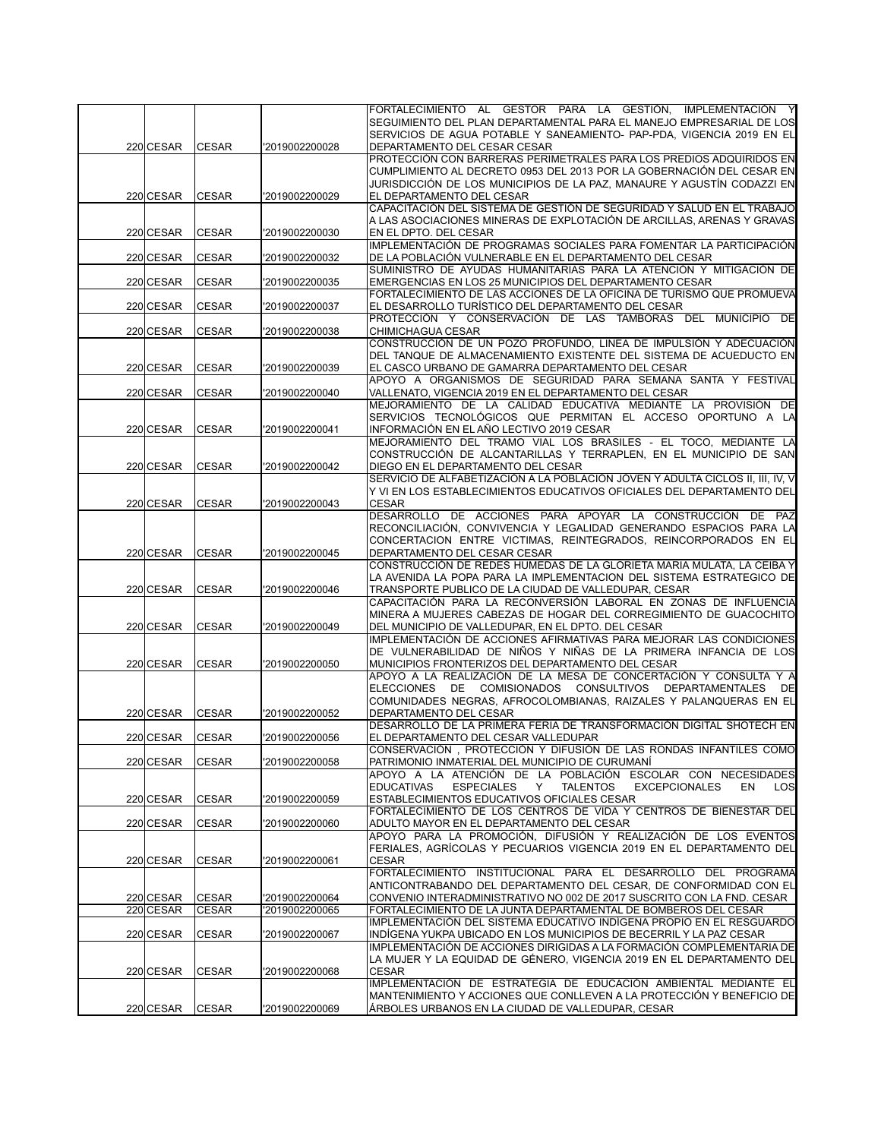|           |              |                | FORTALECIMIENTO AL GESTOR PARA LA GESTIÓN. IMPLEMENTACIÓN                                                                                     |
|-----------|--------------|----------------|-----------------------------------------------------------------------------------------------------------------------------------------------|
|           |              |                | SEGUIMIENTO DEL PLAN DEPARTAMENTAL PARA EL MANEJO EMPRESARIAL DE LOS                                                                          |
|           |              |                | SERVICIOS DE AGUA POTABLE Y SANEAMIENTO- PAP-PDA, VIGENCIA 2019 EN EL                                                                         |
| 220 CESAR | <b>CESAR</b> | '2019002200028 | DEPARTAMENTO DEL CESAR CESAR                                                                                                                  |
|           |              |                | PROTECCIÓN CON BARRERAS PERIMETRALES PARA LOS PREDIOS ADQUIRIDOS EN                                                                           |
|           |              |                | CUMPLIMIENTO AL DECRETO 0953 DEL 2013 POR LA GOBERNACIÓN DEL CESAR EN                                                                         |
|           |              |                | JURISDICCIÓN DE LOS MUNICIPIOS DE LA PAZ, MANAURE Y AGUSTÍN CODAZZI EN                                                                        |
| 220 CESAR | <b>CESAR</b> | '2019002200029 | EL DEPARTAMENTO DEL CESAR<br>CAPACITACIÓN DEL SISTEMA DE GESTIÓN DE SEGURIDAD Y SALUD EN EL TRABAJO                                           |
|           |              |                | A LAS ASOCIACIONES MINERAS DE EXPLOTACIÓN DE ARCILLAS, ARENAS Y GRAVAS                                                                        |
| 220 CESAR | <b>CESAR</b> | '2019002200030 | EN EL DPTO. DEL CESAR                                                                                                                         |
|           |              |                | IMPLEMENTACIÓN DE PROGRAMAS SOCIALES PARA FOMENTAR LA PARTICIPACIÓN                                                                           |
| 220 CESAR | <b>CESAR</b> | '2019002200032 | DE LA POBLACIÓN VULNERABLE EN EL DEPARTAMENTO DEL CESAR                                                                                       |
|           |              |                | SUMINISTRO DE AYUDAS HUMANITARIAS PARA LA ATENCIÓN Y MITIGACIÓN DE                                                                            |
| 220 CESAR | <b>CESAR</b> | '2019002200035 | EMERGENCIAS EN LOS 25 MUNICIPIOS DEL DEPARTAMENTO CESAR                                                                                       |
|           |              |                | FORTALECIMIENTO DE LAS ACCIONES DE LA OFICINA DE TURISMO QUE PROMUEVA                                                                         |
| 220 CESAR | <b>CESAR</b> | '2019002200037 | EL DESARROLLO TURÍSTICO DEL DEPARTAMENTO DEL CESAR                                                                                            |
|           |              |                | PROTECCIÓN Y CONSERVACIÓN DE LAS TAMBORAS DEL MUNICIPIO DE                                                                                    |
| 220 CESAR | <b>CESAR</b> | '2019002200038 | CHIMICHAGUA CESAR                                                                                                                             |
|           |              |                | CONSTRUCCIÓN DE UN POZO PROFUNDO, LINEA DE IMPULSIÓN Y ADECUACIÓN                                                                             |
|           |              |                | DEL TANQUE DE ALMACENAMIENTO EXISTENTE DEL SISTEMA DE ACUEDUCTO EN                                                                            |
| 220 CESAR | <b>CESAR</b> | '2019002200039 | EL CASCO URBANO DE GAMARRA DEPARTAMENTO DEL CESAR                                                                                             |
|           |              |                | APOYO A ORGANISMOS DE SEGURIDAD PARA SEMANA SANTA Y FESTIVAL                                                                                  |
| 220 CESAR | <b>CESAR</b> | '2019002200040 | VALLENATO, VIGENCIA 2019 EN EL DEPARTAMENTO DEL CESAR<br>MEJORAMIENTO DE LA CALIDAD EDUCATIVA MEDIANTE LA PROVISIÓN DE                        |
|           |              |                | SERVICIOS TECNOLÓGICOS QUE PERMITAN EL ACCESO OPORTUNO A LA                                                                                   |
| 220 CESAR | <b>CESAR</b> | '2019002200041 | INFORMACIÓN EN EL AÑO LECTIVO 2019 CESAR                                                                                                      |
|           |              |                | MEJORAMIENTO DEL TRAMO VIAL LOS BRASILES - EL TOCO, MEDIANTE LA                                                                               |
|           |              |                | CONSTRUCCIÓN DE ALCANTARILLAS Y TERRAPLEN, EN EL MUNICIPIO DE SAN                                                                             |
| 220 CESAR | <b>CESAR</b> | '2019002200042 | DIEGO EN EL DEPARTAMENTO DEL CESAR                                                                                                            |
|           |              |                | SERVICIO DE ALFABETIZACIÓN A LA POBLACIÓN JÓVEN Y ADULTA CICLOS II, III, IV, V                                                                |
|           |              |                | Y VI EN LOS ESTABLECIMIENTOS EDUCATIVOS OFICIALES DEL DEPARTAMENTO DEL                                                                        |
| 220 CESAR | <b>CESAR</b> | '2019002200043 | <b>CESAR</b>                                                                                                                                  |
|           |              |                | DESARROLLO DE ACCIONES PARA APOYAR LA CONSTRUCCIÓN DE PAZ                                                                                     |
|           |              |                | RECONCILIACIÓN, CONVIVENCIA Y LEGALIDAD GENERANDO ESPACIOS PARA LA                                                                            |
|           |              |                | CONCERTACION ENTRE VICTIMAS, REINTEGRADOS, REINCORPORADOS EN EL                                                                               |
| 220 CESAR | <b>CESAR</b> | '2019002200045 | DEPARTAMENTO DEL CESAR CESAR                                                                                                                  |
|           |              |                | CONSTRUCCIÓN DE REDES HUMEDAS DE LA GLORIETA MARIA MULATA, LA CEIBA Y<br>LA AVENIDA LA POPA PARA LA IMPLEMENTACION DEL SISTEMA ESTRATEGICO DE |
| 220 CESAR | <b>CESAR</b> | '2019002200046 | TRANSPORTE PUBLICO DE LA CIUDAD DE VALLEDUPAR, CESAR                                                                                          |
|           |              |                | CAPACITACIÓN PARA LA RECONVERSIÓN LABORAL EN ZONAS DE INFLUENCIA                                                                              |
|           |              |                | MINERA A MUJERES CABEZAS DE HOGAR DEL CORREGIMIENTO DE GUACOCHITO                                                                             |
| 220 CESAR | <b>CESAR</b> | '2019002200049 | DEL MUNICIPIO DE VALLEDUPAR, EN EL DPTO. DEL CESAR                                                                                            |
|           |              |                | IMPLEMENTACIÓN DE ACCIONES AFIRMATIVAS PARA MEJORAR LAS CONDICIONES                                                                           |
|           |              |                | DE VULNERABILIDAD DE NIÑOS Y NIÑAS DE LA PRIMERA INFANCIA DE LOS                                                                              |
| 220 CESAR | <b>CESAR</b> | '2019002200050 | MUNICIPIOS FRONTERIZOS DEL DEPARTAMENTO DEL CESAR                                                                                             |
|           |              |                | APOYO A LA REALIZACIÓN DE LA MESA DE CONCERTACIÓN Y CONSULTA Y A                                                                              |
|           |              |                | <b>ELECCIONES</b><br>DE<br>COMISIONADOS CONSULTIVOS DEPARTAMENTALES<br>DE                                                                     |
|           |              |                | COMUNIDADES NEGRAS, AFROCOLOMBIANAS, RAIZALES Y PALANQUERAS EN EL                                                                             |
| 220 CESAR | <b>CESAR</b> | '2019002200052 | DEPARTAMENTO DEL CESAR                                                                                                                        |
| 220 CESAR | <b>CESAR</b> | '2019002200056 | DESARROLLO DE LA PRIMERA FERIA DE TRANSFORMACIÓN DIGITAL SHOTECH EN<br>EL DEPARTAMENTO DEL CESAR VALLEDUPAR                                   |
|           |              |                | CONSERVACION, PROTECCION Y DIFUSION DE LAS RONDAS INFANTILES COMO                                                                             |
| 220 CESAR | <b>CESAR</b> | '2019002200058 | PATRIMONIO INMATERIAL DEL MUNICIPIO DE CURUMANÍ                                                                                               |
|           |              |                | APOYO A LA ATENCIÓN DE LA POBLACIÓN ESCOLAR CON NECESIDADES                                                                                   |
|           |              |                | <b>TALENTOS</b><br><b>EXCEPCIONALES</b><br><b>EDUCATIVAS</b><br><b>ESPECIALES</b><br>Y<br>EN<br>LOS                                           |
| 220 CESAR | <b>CESAR</b> | '2019002200059 | <b>ESTABLECIMIENTOS EDUCATIVOS OFICIALES CESAR</b>                                                                                            |
|           |              |                | FORTALECIMIENTO DE LOS CENTROS DE VIDA Y CENTROS DE BIENESTAR DEL                                                                             |
| 220 CESAR | <b>CESAR</b> | '2019002200060 | ADULTO MAYOR EN EL DEPARTAMENTO DEL CESAR                                                                                                     |
|           |              |                | APOYO PARA LA PROMOCIÓN. DIFUSIÓN Y REALIZACIÓN DE LOS EVENTOS                                                                                |
|           |              |                | FERIALES, AGRÍCOLAS Y PECUARIOS VIGENCIA 2019 EN EL DEPARTAMENTO DEL                                                                          |
| 220 CESAR | <b>CESAR</b> | '2019002200061 | <b>CESAR</b>                                                                                                                                  |
|           |              |                | FORTALECIMIENTO INSTITUCIONAL PARA EL DESARROLLO DEL PROGRAMA<br>ANTICONTRABANDO DEL DEPARTAMENTO DEL CESAR, DE CONFORMIDAD CON EL            |
| 220 CESAR | <b>CESAR</b> | '2019002200064 | CONVENIO INTERADMINISTRATIVO NO 002 DE 2017 SUSCRITO CON LA FND. CESAR                                                                        |
| 220 CESAR | <b>CESAR</b> | '2019002200065 | FORTALECIMIENTO DE LA JUNTA DEPARTAMENTAL DE BOMBEROS DEL CESAR                                                                               |
|           |              |                | IMPLEMENTACIÓN DEL SISTEMA EDUCATIVO INDÍGENA PROPIO EN EL RESGUARDO                                                                          |
| 220 CESAR | <b>CESAR</b> | '2019002200067 | INDIGENA YUKPA UBICADO EN LOS MUNICIPIOS DE BECERRIL Y LA PAZ CESAR                                                                           |
|           |              |                | IMPLEMENTACIÓN DE ACCIONES DIRIGIDAS A LA FORMACIÓN COMPLEMENTARIA DE                                                                         |
|           |              |                |                                                                                                                                               |
|           |              |                | LA MUJER Y LA EQUIDAD DE GÉNERO, VIGENCIA 2019 EN EL DEPARTAMENTO DEL                                                                         |
| 220 CESAR | <b>CESAR</b> | '2019002200068 | <b>CESAR</b>                                                                                                                                  |
|           |              |                | IMPLEMENTACIÓN DE ESTRATEGIA DE EDUCACIÓN AMBIENTAL MEDIANTE EL                                                                               |
| 220 CESAR | <b>CESAR</b> | '2019002200069 | MANTENIMIENTO Y ACCIONES QUE CONLLEVEN A LA PROTECCIÓN Y BENEFICIO DE<br>ÁRBOLES URBANOS EN LA CIUDAD DE VALLEDUPAR, CESAR                    |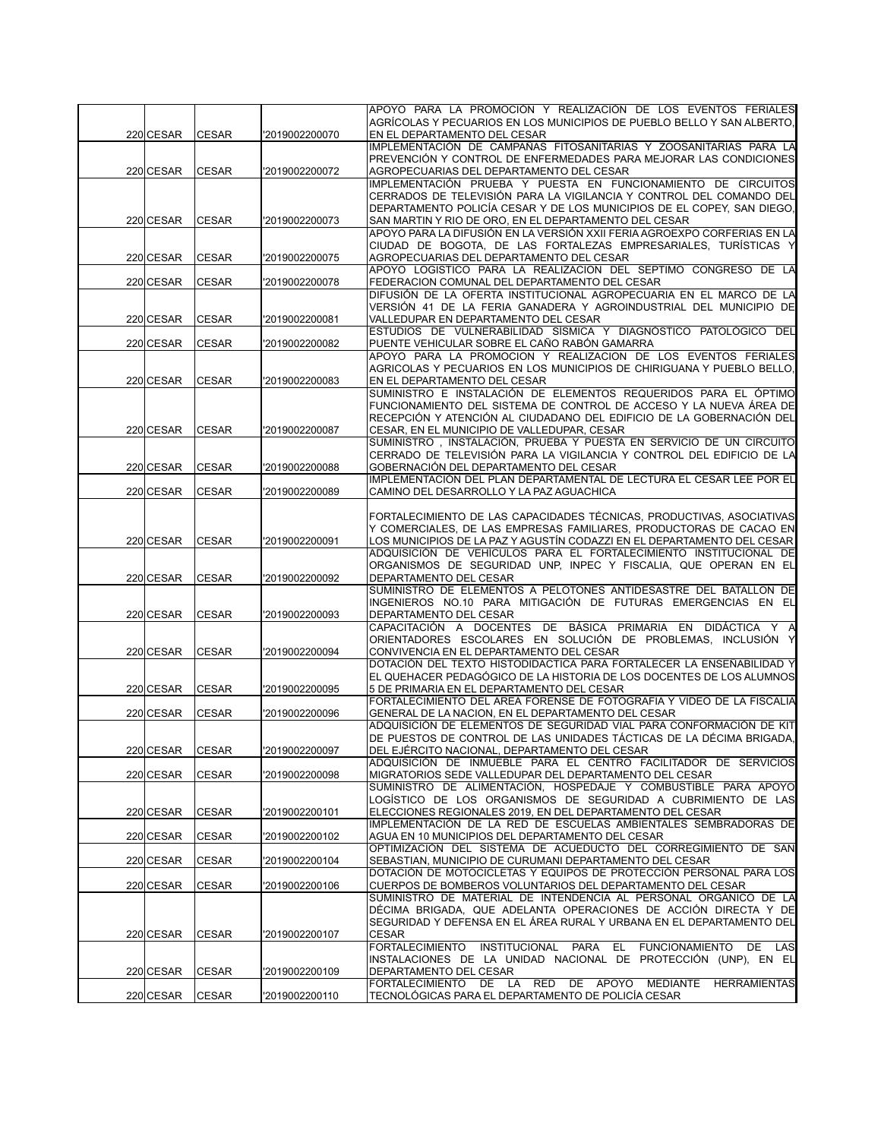|           |              |                | APOYO PARA LA PROMOCIÓN Y REALIZACIÓN DE LOS EVENTOS FERIALES                                                                          |
|-----------|--------------|----------------|----------------------------------------------------------------------------------------------------------------------------------------|
| 220 CESAR | <b>CESAR</b> | '2019002200070 | AGRÍCOLAS Y PECUARIOS EN LOS MUNICIPIOS DE PUEBLO BELLO Y SAN ALBERTO,<br>EN EL DEPARTAMENTO DEL CESAR                                 |
|           |              |                | IMPLEMENTACIÓN DE CAMPAÑAS FITOSANITARIAS Y ZOOSANITARIAS PARA LA                                                                      |
| 220 CESAR | <b>CESAR</b> | '2019002200072 | PREVENCIÓN Y CONTROL DE ENFERMEDADES PARA MEJORAR LAS CONDICIONES<br>AGROPECUARIAS DEL DEPARTAMENTO DEL CESAR                          |
|           |              |                | IMPLEMENTACIÓN PRUEBA Y PUESTA EN FUNCIONAMIENTO DE CIRCUITOS                                                                          |
|           |              |                | CERRADOS DE TELEVISIÓN PARA LA VIGILANCIA Y CONTROL DEL COMANDO DEL                                                                    |
| 220 CESAR | <b>CESAR</b> | '2019002200073 | DEPARTAMENTO POLICÍA CESAR Y DE LOS MUNICIPIOS DE EL COPEY, SAN DIEGO,<br>SAN MARTIN Y RIO DE ORO, EN EL DEPARTAMENTO DEL CESAR        |
|           |              |                | APOYO PARA LA DIFUSIÓN EN LA VERSIÓN XXII FERIA AGROEXPO CORFERIAS EN LA                                                               |
|           |              |                | CIUDAD DE BOGOTA, DE LAS FORTALEZAS EMPRESARIALES, TURÍSTICAS Y                                                                        |
| 220 CESAR | <b>CESAR</b> | '2019002200075 | AGROPECUARIAS DEL DEPARTAMENTO DEL CESAR                                                                                               |
|           |              |                | APOYO LOGISTICO PARA LA REALIZACION DEL SEPTIMO CONGRESO DE LA                                                                         |
| 220 CESAR | <b>CESAR</b> | '2019002200078 | FEDERACION COMUNAL DEL DEPARTAMENTO DEL CESAR<br>DIFUSIÓN DE LA OFERTA INSTITUCIONAL AGROPECUARIA EN EL MARCO DE LA                    |
|           |              |                | VERSIÓN 41 DE LA FERIA GANADERA Y AGROINDUSTRIAL DEL MUNICIPIO DE                                                                      |
| 220 CESAR | <b>CESAR</b> | '2019002200081 | VALLEDUPAR EN DEPARTAMENTO DEL CESAR                                                                                                   |
|           |              |                | ESTUDIOS DE VULNERABILIDAD SÍSMICA Y DIAGNÓSTICO PATOLÓGICO DEL                                                                        |
| 220 CESAR | <b>CESAR</b> | '2019002200082 | PUENTE VEHICULAR SOBRE EL CAÑO RABÓN GAMARRA                                                                                           |
|           |              |                | APOYO PARA LA PROMOCION Y REALIZACION DE LOS EVENTOS FERIALES<br>AGRICOLAS Y PECUARIOS EN LOS MUNICIPIOS DE CHIRIGUANA Y PUEBLO BELLO. |
| 220 CESAR | <b>CESAR</b> | '2019002200083 | EN EL DEPARTAMENTO DEL CESAR                                                                                                           |
|           |              |                | SUMINISTRO E INSTALACIÓN DE ELEMENTOS REQUERIDOS PARA EL ÓPTIMO                                                                        |
|           |              |                | FUNCIONAMIENTO DEL SISTEMA DE CONTROL DE ACCESO Y LA NUEVA ÁREA DE                                                                     |
|           |              |                | RECEPCIÓN Y ATENCIÓN AL CIUDADANO DEL EDIFICIO DE LA GOBERNACIÓN DEL                                                                   |
| 220 CESAR | <b>CESAR</b> | '2019002200087 | CESAR, EN EL MUNICIPIO DE VALLEDUPAR, CESAR<br>SUMINISTRO, INSTALACIÓN, PRUEBA Y PUESTA EN SERVICIO DE UN CIRCUITO                     |
|           |              |                | CERRADO DE TELEVISIÓN PARA LA VIGILANCIA Y CONTROL DEL EDIFICIO DE LA                                                                  |
| 220 CESAR | <b>CESAR</b> | '2019002200088 | GOBERNACIÓN DEL DEPARTAMENTO DEL CESAR                                                                                                 |
|           |              |                | IMPLEMENTACIÓN DEL PLAN DEPARTAMENTAL DE LECTURA EL CESAR LEE POR EL                                                                   |
| 220 CESAR | <b>CESAR</b> | '2019002200089 | CAMINO DEL DESARROLLO Y LA PAZ AGUACHICA                                                                                               |
|           |              |                | FORTALECIMIENTO DE LAS CAPACIDADES TÉCNICAS, PRODUCTIVAS, ASOCIATIVAS                                                                  |
|           |              |                | Y COMERCIALES, DE LAS EMPRESAS FAMILIARES, PRODUCTORAS DE CACAO EN                                                                     |
| 220 CESAR | <b>CESAR</b> | '2019002200091 | LOS MUNICIPIOS DE LA PAZ Y AGUSTÍN CODAZZI EN EL DEPARTAMENTO DEL CESAR                                                                |
|           |              |                | ADQUISICIÓN DE VEHÍCULOS PARA EL FORTALECIMIENTO INSTITUCIONAL DE                                                                      |
| 220 CESAR | <b>CESAR</b> | '2019002200092 | ORGANISMOS DE SEGURIDAD UNP, INPEC Y FISCALIA, QUE OPERAN EN EL<br>DEPARTAMENTO DEL CESAR                                              |
|           |              |                | SUMINISTRO DE ELEMENTOS A PELOTONES ANTIDESASTRE DEL BATALLON DE                                                                       |
|           |              |                | INGENIEROS NO.10 PARA MITIGACIÓN DE FUTURAS EMERGENCIAS EN EL                                                                          |
| 220 CESAR | <b>CESAR</b> | '2019002200093 | DEPARTAMENTO DEL CESAR                                                                                                                 |
|           |              |                | CAPACITACIÓN A DOCENTES DE BÁSICA PRIMARIA EN DIDÁCTICA Y A<br>ORIENTADORES ESCOLARES EN SOLUCIÓN DE PROBLEMAS, INCLUSIÓN Y            |
| 220 CESAR | <b>CESAR</b> | '2019002200094 | CONVIVENCIA EN EL DEPARTAMENTO DEL CESAR                                                                                               |
|           |              |                | DOTACIÓN DEL TEXTO HISTODIDACTICA PARA FORTALECER LA ENSEÑABILIDAD Y                                                                   |
|           |              |                | EL QUEHACER PEDAGÓGICO DE LA HISTORIA DE LOS DOCENTES DE LOS ALUMNOS                                                                   |
| 220 CESAR | <b>CESAR</b> | '2019002200095 | 5 DE PRIMARIA EN EL DEPARTAMENTO DEL CESAR                                                                                             |
| 220 CESAR | <b>CESAR</b> | '2019002200096 | FORTALECIMIENTO DEL AREA FORENSE DE FOTOGRAFIA Y VIDEO DE LA FISCALIA<br>GENERAL DE LA NACION, EN EL DEPARTAMENTO DEL CESAR            |
|           |              |                | ADQUISICIÓN DE ELEMENTOS DE SEGURIDAD VIAL PARA CONFORMACIÓN DE KIT                                                                    |
|           |              |                | DE PUESTOS DE CONTROL DE LAS UNIDADES TÁCTICAS DE LA DÉCIMA BRIGADA,                                                                   |
| 220 CESAR | <b>CESAR</b> | 2019002200097  | DEL EJERCITO NACIONAL, DEPARTAMENTO DEL CESAR                                                                                          |
|           |              |                | ADQUISICIÓN DE INMUEBLE PARA EL CENTRO FACILITADOR DE SERVICIOS                                                                        |
| 220 CESAR | <b>CESAR</b> | '2019002200098 | MIGRATORIOS SEDE VALLEDUPAR DEL DEPARTAMENTO DEL CESAR<br>SUMINISTRO DE ALIMENTACIÓN, HOSPEDAJE Y COMBUSTIBLE PARA APOYO               |
|           |              |                | LOGÍSTICO DE LOS ORGANISMOS DE SEGURIDAD A CUBRIMIENTO DE LAS                                                                          |
| 220 CESAR | <b>CESAR</b> | '2019002200101 | ELECCIONES REGIONALES 2019, EN DEL DEPARTAMENTO DEL CESAR                                                                              |
|           |              |                | IMPLEMENTACIÓN DE LA RED DE ESCUELAS AMBIENTALES SEMBRADORAS DE                                                                        |
| 220 CESAR | <b>CESAR</b> | '2019002200102 | AGUA EN 10 MUNICIPIOS DEL DEPARTAMENTO DEL CESAR<br>OPTIMIZACIÓN DEL SISTEMA DE ACUEDUCTO DEL CORREGIMIENTO DE SAN                     |
| 220 CESAR | <b>CESAR</b> | '2019002200104 | SEBASTIAN, MUNICIPIO DE CURUMANI DEPARTAMENTO DEL CESAR                                                                                |
|           |              |                | DOTACIÓN DE MOTOCICLETAS Y EQUIPOS DE PROTECCIÓN PERSONAL PARA LOS                                                                     |
| 220 CESAR | <b>CESAR</b> | '2019002200106 | CUERPOS DE BOMBEROS VOLUNTARIOS DEL DEPARTAMENTO DEL CESAR                                                                             |
|           |              |                | SUMINISTRO DE MATERIAL DE INTENDENCIA AL PERSONAL ORGÁNICO DE LA<br>DÉCIMA BRIGADA, QUE ADELANTA OPERACIONES DE ACCIÓN DIRECTA Y DE    |
|           |              |                | SEGURIDAD Y DEFENSA EN EL ÁREA RURAL Y URBANA EN EL DEPARTAMENTO DEL                                                                   |
| 220 CESAR | <b>CESAR</b> | '2019002200107 | <b>CESAR</b>                                                                                                                           |
|           |              |                | INSTITUCIONAL PARA EL<br><b>FORTALECIMIENTO</b><br>FUNCIONAMIENTO<br>DE.<br>LAS                                                        |
|           |              |                | INSTALACIONES DE LA UNIDAD NACIONAL DE PROTECCIÓN (UNP), EN EL                                                                         |
| 220 CESAR | <b>CESAR</b> | '2019002200109 | DEPARTAMENTO DEL CESAR<br>FORTALECIMIENTO DE LA RED DE APOYO MEDIANTE HERRAMIENTAS                                                     |
| 220 CESAR | <b>CESAR</b> | '2019002200110 | TECNOLÓGICAS PARA EL DEPARTAMENTO DE POLICÍA CESAR                                                                                     |
|           |              |                |                                                                                                                                        |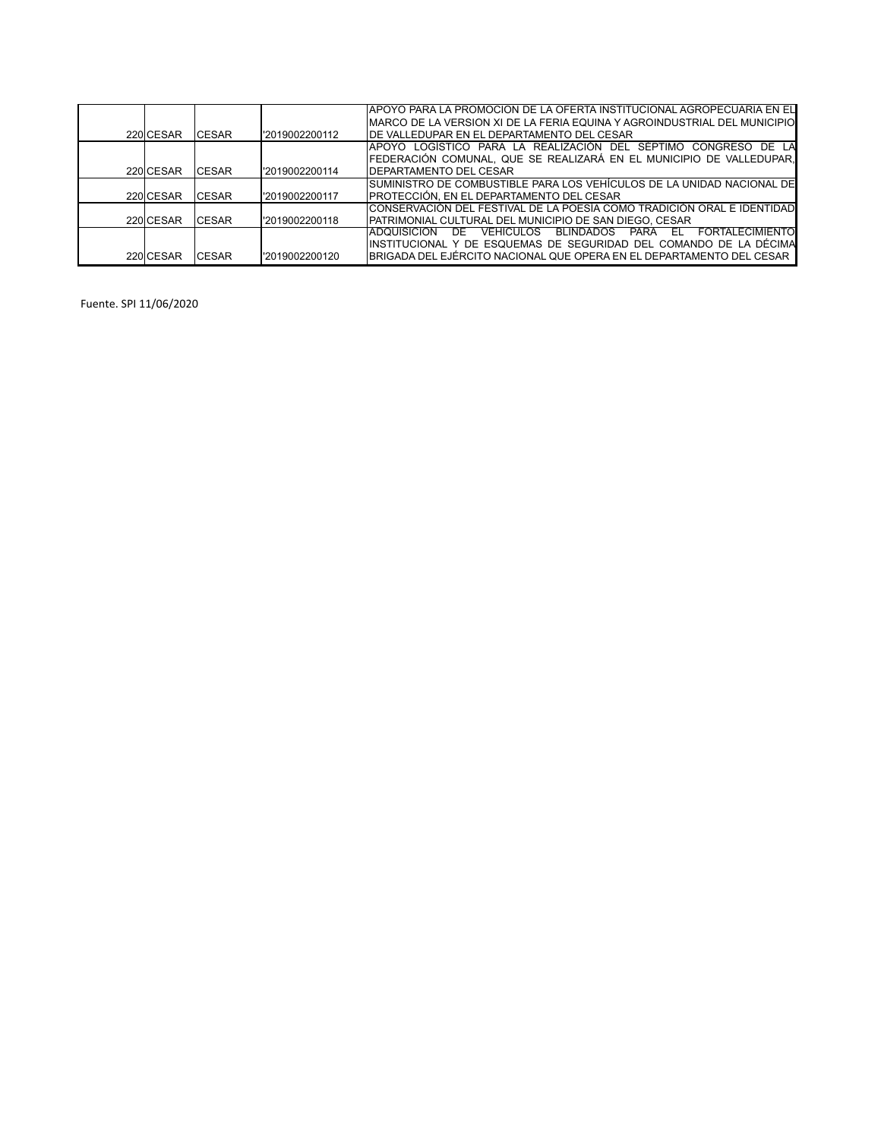|           |               |                 | IAPOYO PARA LA PROMOCION DE LA OFERTA INSTITUCIONAL AGROPECUARIA EN EL                 |
|-----------|---------------|-----------------|----------------------------------------------------------------------------------------|
|           |               |                 | IMARCO DE LA VERSION XI DE LA FERIA EQUINA Y AGROINDUSTRIAL DEL MUNICIPIO              |
| 220 CESAR | <b>ICESAR</b> | l'2019002200112 | IDE VALLEDUPAR EN EL DEPARTAMENTO DEL CESAR                                            |
|           |               |                 | IAPOYO LOGISTICO PARA LA REALIZACIÓN DEL SÉPTIMO CONGRESO DE LA                        |
|           |               |                 | FEDERACIÓN COMUNAL, QUE SE REALIZARÁ EN EL MUNICIPIO DE VALLEDUPAR,                    |
| 220 CESAR | <b>ICESAR</b> | l'2019002200114 | <b>IDEPARTAMENTO DEL CESAR</b>                                                         |
|           |               |                 | ISUMINISTRO DE COMBUSTIBLE PARA LOS VEHÍCULOS DE LA UNIDAD NACIONAL DE                 |
| 220 CESAR | <b>ICESAR</b> | l'2019002200117 | IPROTECCIÓN. EN EL DEPARTAMENTO DEL CESAR                                              |
|           |               |                 | ICONSERVACIÓN DEL FESTIVAL DE LA POESÍA COMO TRADICIÓN ORAL E IDENTIDAD                |
| 220 CESAR | <b>ICESAR</b> | l'2019002200118 | PATRIMONIAL CULTURAL DEL MUNICIPIO DE SAN DIEGO, CESAR                                 |
|           |               |                 | <b>FORTAL FCIMIENTO</b><br>BLINDADOS<br>IADQUISICION<br>VEHICULOS<br>PARA<br>DE<br>EL. |
|           |               |                 | IINSTITUCIONAL Y DE ESQUEMAS DE SEGURIDAD DEL COMANDO DE LA DÉCIMA                     |
| 220 CESAR | <b>ICESAR</b> | l'2019002200120 | IBRIGADA DEL EJÉRCITO NACIONAL QUE OPERA EN EL DEPARTAMENTO DEL CESAR                  |

Fuente. SPI 11/06/2020